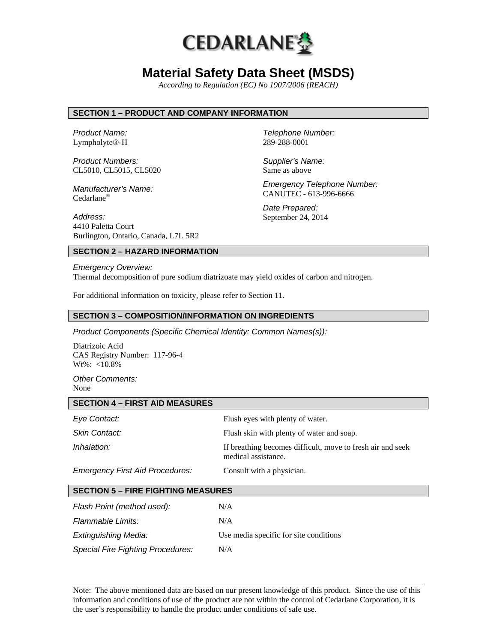

# **Material Safety Data Sheet (MSDS)**

*According to Regulation (EC) No 1907/2006 (REACH)*

## **SECTION 1 – PRODUCT AND COMPANY INFORMATION**

*Product Name:*  Lympholyte®-H

*Product Numbers:*  CL5010, CL5015, CL5020

*Manufacturer's Name:*  Cedarlane®

289-288-0001

*Telephone Number:*

*Supplier's Name:*  Same as above

*Emergency Telephone Number:*  CANUTEC - 613-996-6666

*Date Prepared:*  September 24, 2014

*Address:*  4410 Paletta Court Burlington, Ontario, Canada, L7L 5R2

# **SECTION 2 – HAZARD INFORMATION**

*Emergency Overview:*  Thermal decomposition of pure sodium diatrizoate may yield oxides of carbon and nitrogen.

For additional information on toxicity, please refer to Section 11.

#### **SECTION 3 – COMPOSITION/INFORMATION ON INGREDIENTS**

*Product Components (Specific Chemical Identity: Common Names(s)):* 

Diatrizoic Acid CAS Registry Number: 117-96-4  $Wt\%$ : <10.8%

*Other Comments:*  None

#### **SECTION 4 – FIRST AID MEASURES**

| Eye Contact:                    | Flush eyes with plenty of water.                                                  |
|---------------------------------|-----------------------------------------------------------------------------------|
| <b>Skin Contact:</b>            | Flush skin with plenty of water and soap.                                         |
| Inhalation:                     | If breathing becomes difficult, move to fresh air and seek<br>medical assistance. |
| Emergency Eiret Aid Drocedures: | Concult with a physician                                                          |

*Emergency First Aid Procedures:* Consult with a physician.

| <b>SECTION 5 – FIRE FIGHTING MEASURES</b> |  |
|-------------------------------------------|--|
|                                           |  |

| Flash Point (method used):               | N/A                                    |
|------------------------------------------|----------------------------------------|
| <b>Flammable Limits:</b>                 | N/A                                    |
| Extinguishing Media:                     | Use media specific for site conditions |
| <b>Special Fire Fighting Procedures:</b> | N/A                                    |

Note: The above mentioned data are based on our present knowledge of this product. Since the use of this information and conditions of use of the product are not within the control of Cedarlane Corporation, it is the user's responsibility to handle the product under conditions of safe use.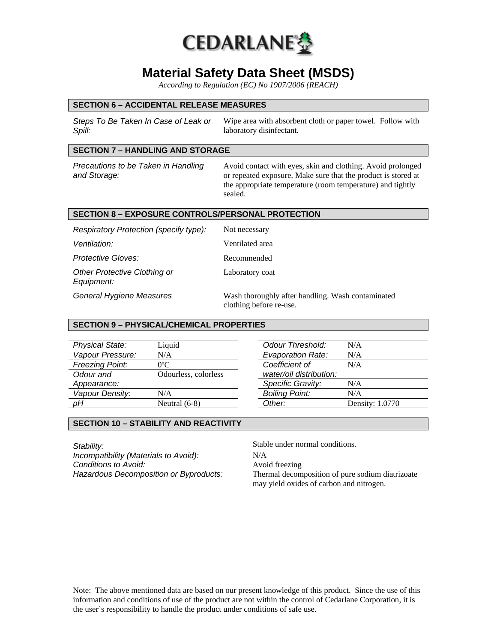

# **Material Safety Data Sheet (MSDS)**

*According to Regulation (EC) No 1907/2006 (REACH)*

### **SECTION 6 – ACCIDENTAL RELEASE MEASURES**

*Steps To Be Taken In Case of Leak or Spill:*  Wipe area with absorbent cloth or paper towel. Follow with laboratory disinfectant.

# **SECTION 7 – HANDLING AND STORAGE**

*Precautions to be Taken in Handling and Storage:* 

Avoid contact with eyes, skin and clothing. Avoid prolonged or repeated exposure. Make sure that the product is stored at the appropriate temperature (room temperature) and tightly sealed.

### **SECTION 8 – EXPOSURE CONTROLS/PERSONAL PROTECTION**

| Respiratory Protection (specify type):     | Not necessary                                                                |
|--------------------------------------------|------------------------------------------------------------------------------|
| Ventilation:                               | Ventilated area                                                              |
| <b>Protective Gloves:</b>                  | Recommended                                                                  |
| Other Protective Clothing or<br>Equipment: | Laboratory coat                                                              |
| General Hygiene Measures                   | Wash thoroughly after handling. Wash contaminated<br>clothing before re-use. |

### **SECTION 9 – PHYSICAL/CHEMICAL PROPERTIES**

| <b>Physical State:</b> | Liquid               |
|------------------------|----------------------|
| Vapour Pressure:       | N/A                  |
| <b>Freezing Point:</b> | $0^{\circ}$ C        |
| Odour and              | Odourless, colorless |
| Appearance:            |                      |
| Vapour Density:        | N/A                  |
|                        | Neutral $(6-8)$      |

| Odour Threshold:         | N/A             |
|--------------------------|-----------------|
| <b>Evaporation Rate:</b> | N/A             |
| Coefficient of           | N/A             |
| water/oil distribution:  |                 |
| <b>Specific Gravity:</b> | N/A             |
| <b>Boiling Point:</b>    | N/A             |
| Other:                   | Density: 1.0770 |
|                          |                 |

### **SECTION 10 – STABILITY AND REACTIVITY**

**Stability:** Stable under normal conditions. *Incompatibility (Materials to Avoid):* N/A **Conditions to Avoid: Avoid freezing** 

*Hazardous Decomposition or Byproducts:* Thermal decomposition of pure sodium diatrizoate may yield oxides of carbon and nitrogen.

Note: The above mentioned data are based on our present knowledge of this product. Since the use of this information and conditions of use of the product are not within the control of Cedarlane Corporation, it is the user's responsibility to handle the product under conditions of safe use.